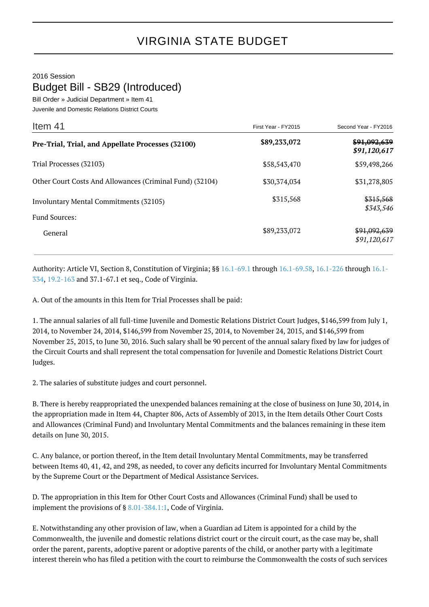## 2016 Session Budget Bill - SB29 (Introduced)

Bill Order » Judicial Department » Item 41

Juvenile and Domestic Relations District Courts

| Item 41                                                        | First Year - FY2015 | Second Year - FY2016                    |
|----------------------------------------------------------------|---------------------|-----------------------------------------|
| Pre-Trial, Trial, and Appellate Processes (32100)              | \$89,233,072        | <del>\$91,092,639</del><br>\$91,120,617 |
| Trial Processes (32103)                                        | \$58,543,470        | \$59,498,266                            |
| Other Court Costs And Allowances (Criminal Fund) (32104)       | \$30,374,034        | \$31,278,805                            |
| Involuntary Mental Commitments (32105)<br><b>Fund Sources:</b> | \$315,568           | \$315,568<br>\$343,546                  |
| General                                                        | \$89,233,072        | \$91,092,639<br>\$91,120,617            |

Authority: Article VI, Section 8, Constitution of Virginia; §§ [16.1-69.1](http://law.lis.virginia.gov/vacode/16.1-69.1/) through [16.1-69.58](http://law.lis.virginia.gov/vacode/16.1-69.58/), [16.1-226](http://law.lis.virginia.gov/vacode/16.1-226/) through [16.1-](http://law.lis.virginia.gov/vacode/16.1-334/) [334,](http://law.lis.virginia.gov/vacode/16.1-334/) [19.2-163](http://law.lis.virginia.gov/vacode/19.2-163/) and 37.1-67.1 et seq., Code of Virginia.

A. Out of the amounts in this Item for Trial Processes shall be paid:

1. The annual salaries of all full-time Juvenile and Domestic Relations District Court Judges, \$146,599 from July 1, 2014, to November 24, 2014, \$146,599 from November 25, 2014, to November 24, 2015, and \$146,599 from November 25, 2015, to June 30, 2016. Such salary shall be 90 percent of the annual salary fixed by law for judges of the Circuit Courts and shall represent the total compensation for Juvenile and Domestic Relations District Court Judges.

2. The salaries of substitute judges and court personnel.

B. There is hereby reappropriated the unexpended balances remaining at the close of business on June 30, 2014, in the appropriation made in Item 44, Chapter 806, Acts of Assembly of 2013, in the Item details Other Court Costs and Allowances (Criminal Fund) and Involuntary Mental Commitments and the balances remaining in these item details on June 30, 2015.

C. Any balance, or portion thereof, in the Item detail Involuntary Mental Commitments, may be transferred between Items 40, 41, 42, and 298, as needed, to cover any deficits incurred for Involuntary Mental Commitments by the Supreme Court or the Department of Medical Assistance Services.

D. The appropriation in this Item for Other Court Costs and Allowances (Criminal Fund) shall be used to implement the provisions of § [8.01-384.1:1,](http://law.lis.virginia.gov/vacode/8.01-384.1:1/) Code of Virginia.

E. Notwithstanding any other provision of law, when a Guardian ad Litem is appointed for a child by the Commonwealth, the juvenile and domestic relations district court or the circuit court, as the case may be, shall order the parent, parents, adoptive parent or adoptive parents of the child, or another party with a legitimate interest therein who has filed a petition with the court to reimburse the Commonwealth the costs of such services